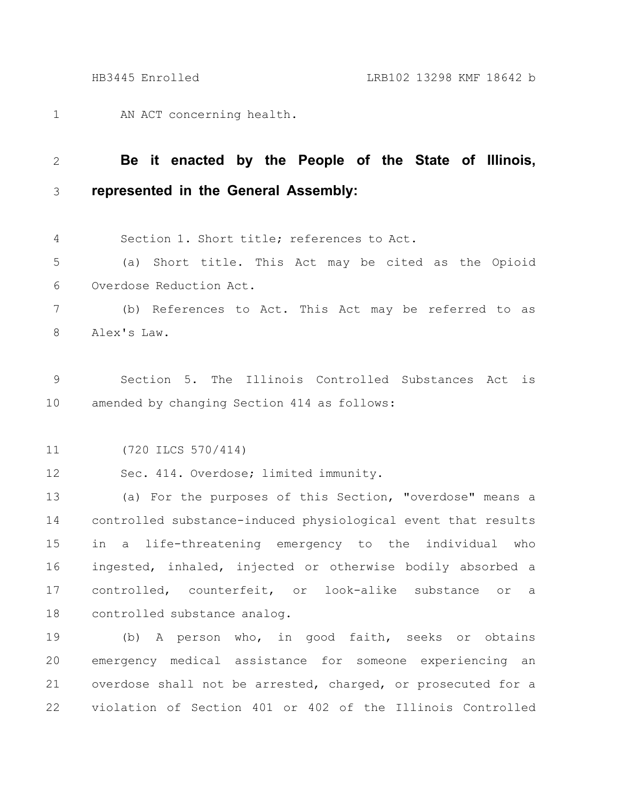AN ACT concerning health. 1

## **Be it enacted by the People of the State of Illinois, represented in the General Assembly:** 2 3

Section 1. Short title; references to Act. 4

(a) Short title. This Act may be cited as the Opioid Overdose Reduction Act. 5 6

(b) References to Act. This Act may be referred to as Alex's Law. 7 8

Section 5. The Illinois Controlled Substances Act is amended by changing Section 414 as follows: 9 10

(720 ILCS 570/414) 11

Sec. 414. Overdose; limited immunity. 12

(a) For the purposes of this Section, "overdose" means a controlled substance-induced physiological event that results in a life-threatening emergency to the individual who ingested, inhaled, injected or otherwise bodily absorbed a controlled, counterfeit, or look-alike substance or a controlled substance analog. 13 14 15 16 17 18

(b) A person who, in good faith, seeks or obtains emergency medical assistance for someone experiencing an overdose shall not be arrested, charged, or prosecuted for a violation of Section 401 or 402 of the Illinois Controlled 19 20 21 22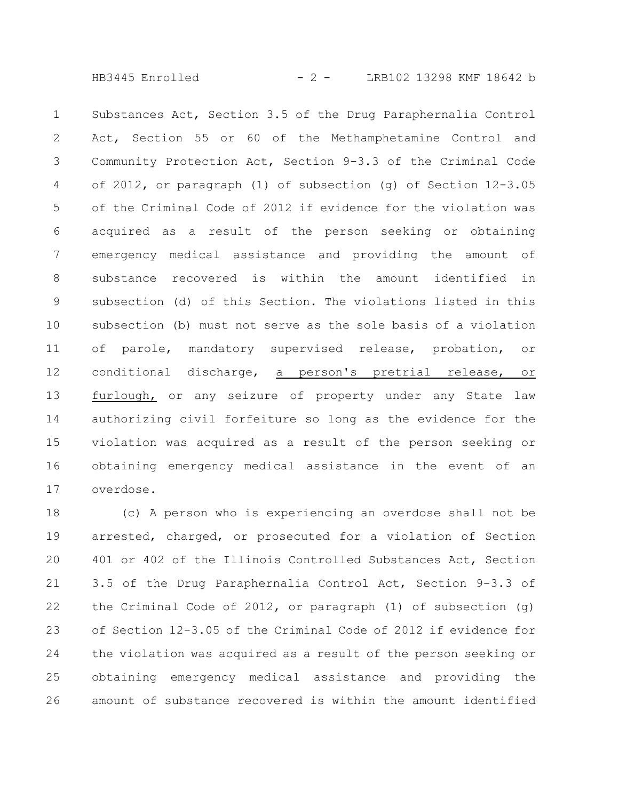HB3445 Enrolled - 2 - LRB102 13298 KMF 18642 b

Substances Act, Section 3.5 of the Drug Paraphernalia Control Act, Section 55 or 60 of the Methamphetamine Control and Community Protection Act, Section 9-3.3 of the Criminal Code of 2012, or paragraph (1) of subsection (g) of Section 12-3.05 of the Criminal Code of 2012 if evidence for the violation was acquired as a result of the person seeking or obtaining emergency medical assistance and providing the amount of substance recovered is within the amount identified in subsection (d) of this Section. The violations listed in this subsection (b) must not serve as the sole basis of a violation of parole, mandatory supervised release, probation, or conditional discharge, a person's pretrial release, or furlough, or any seizure of property under any State law authorizing civil forfeiture so long as the evidence for the violation was acquired as a result of the person seeking or obtaining emergency medical assistance in the event of an overdose. 1 2 3 4 5 6 7 8 9 10 11 12 13 14 15 16 17

(c) A person who is experiencing an overdose shall not be arrested, charged, or prosecuted for a violation of Section 401 or 402 of the Illinois Controlled Substances Act, Section 3.5 of the Drug Paraphernalia Control Act, Section 9-3.3 of the Criminal Code of 2012, or paragraph (1) of subsection (g) of Section 12-3.05 of the Criminal Code of 2012 if evidence for the violation was acquired as a result of the person seeking or obtaining emergency medical assistance and providing the amount of substance recovered is within the amount identified 18 19 20 21 22 23 24 25 26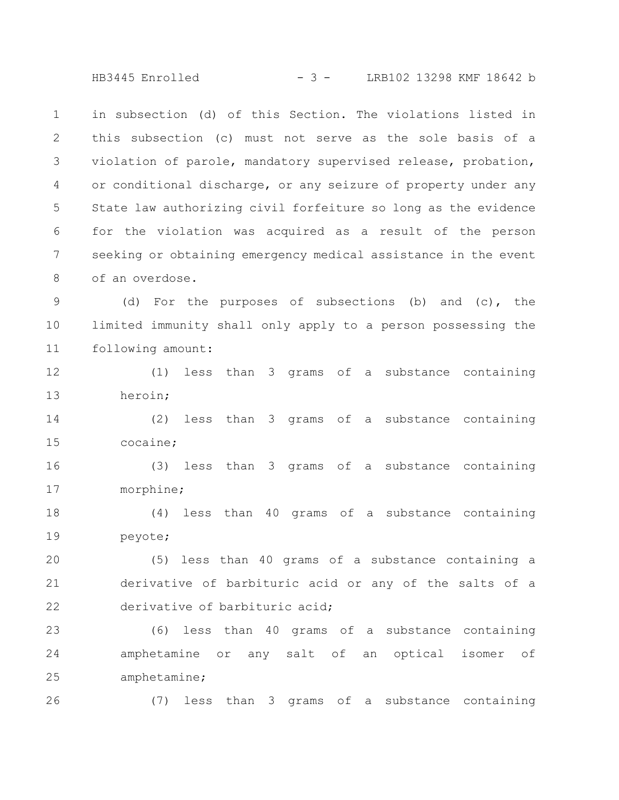HB3445 Enrolled - 3 - LRB102 13298 KMF 18642 b

in subsection (d) of this Section. The violations listed in this subsection (c) must not serve as the sole basis of a violation of parole, mandatory supervised release, probation, or conditional discharge, or any seizure of property under any State law authorizing civil forfeiture so long as the evidence for the violation was acquired as a result of the person seeking or obtaining emergency medical assistance in the event of an overdose. 1 2 3 4 5 6 7 8

(d) For the purposes of subsections (b) and (c), the limited immunity shall only apply to a person possessing the following amount: 9 10 11

(1) less than 3 grams of a substance containing heroin; 12 13

(2) less than 3 grams of a substance containing cocaine; 14 15

(3) less than 3 grams of a substance containing morphine; 16 17

(4) less than 40 grams of a substance containing peyote; 18 19

(5) less than 40 grams of a substance containing a derivative of barbituric acid or any of the salts of a derivative of barbituric acid; 20 21 22

(6) less than 40 grams of a substance containing amphetamine or any salt of an optical isomer of amphetamine; 23 24 25

26

(7) less than 3 grams of a substance containing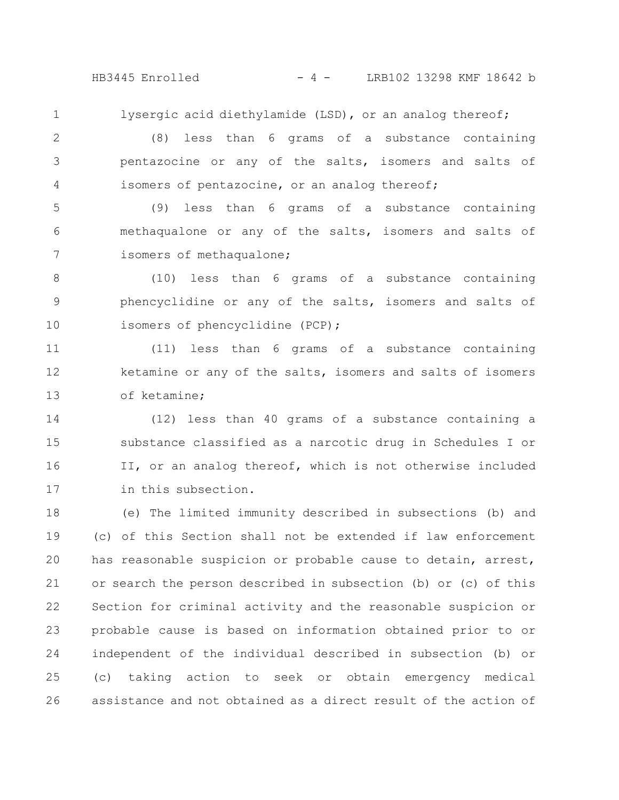HB3445 Enrolled - 4 - LRB102 13298 KMF 18642 b

lysergic acid diethylamide (LSD), or an analog thereof;

1

(8) less than 6 grams of a substance containing pentazocine or any of the salts, isomers and salts of isomers of pentazocine, or an analog thereof; 2 3 4

(9) less than 6 grams of a substance containing methaqualone or any of the salts, isomers and salts of isomers of methaqualone; 5 6 7

(10) less than 6 grams of a substance containing phencyclidine or any of the salts, isomers and salts of isomers of phencyclidine (PCP); 8 9 10

(11) less than 6 grams of a substance containing ketamine or any of the salts, isomers and salts of isomers of ketamine; 11 12 13

(12) less than 40 grams of a substance containing a substance classified as a narcotic drug in Schedules I or II, or an analog thereof, which is not otherwise included in this subsection. 14 15 16 17

(e) The limited immunity described in subsections (b) and (c) of this Section shall not be extended if law enforcement has reasonable suspicion or probable cause to detain, arrest, or search the person described in subsection (b) or (c) of this Section for criminal activity and the reasonable suspicion or probable cause is based on information obtained prior to or independent of the individual described in subsection (b) or (c) taking action to seek or obtain emergency medical assistance and not obtained as a direct result of the action of 18 19 20 21 22 23 24 25 26